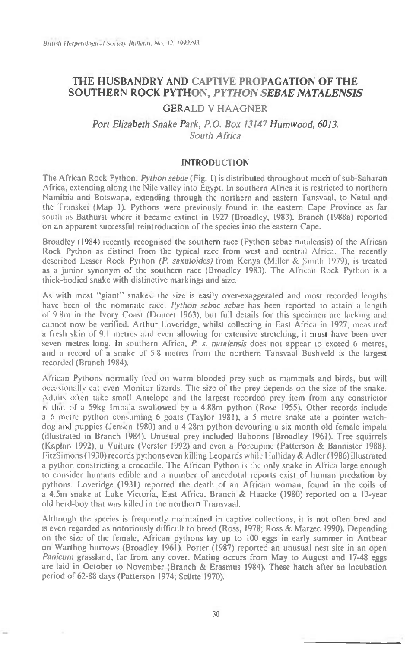# **THE HUSBANDRY AND CAPTIVE PROPAGATION OF THE SOUTHERN ROCK PYTHON,** *PYTHON SEBAE NATALENSIS*

## GERALD V HAAGNER

## Port Elizabeth Snake Park, P.O. Box 13147 Humwood, 6013. South Africa

## **INTRODUCTION**

The African Rock Python, Python sebae (Fig. I) is distributed throughout much of sub-Saharan Africa, extending along the Nile valley into Egypt. In southern Africa it is restricted to northern Namibia and Botswana, extending through the northern and eastern Tansvaal, to Natal and the Transkei (Map 1). Pythons were previously found in the eastern Cape Province as far south as Bathurst where it became extinct in 1927 (Broadley, 1983). Branch (1988a) reported on an apparent successful reintroduction of the species into the eastern Cape.

Broadley (1984) recently recognised the southern race (Python sebac natalensis) of the African Rock Python as distinct from the typical race from west and central Africa. The recently described Lesser Rock Python (P. saxuloides) from Kenya (Miller & Smith 1979), is treated as a junior synonym of the southern race (Broadley 1983). The African Rock Python is a thick-bodied snake with distinctive markings and size.

As with most "giant" snakes. the size is easily over-exaggerated and most recorded lengths have been of the nominate race. Python sebae sebae has been reported to attain a length of 9.8m in the Ivory Coast (Doucet 1963), but full details for this specimen are lacking and cannot now be verified. Arthur Loveridge, whilst collecting in East Africa in 1927, measured a fresh skin of 9.1 metres and even allowing for extensive stretching, it must have been over seven metres long. In southern Africa, P. s. natalensis does not appear to exceed 6 metres, and a record of a snake of 5.8 metres from the northern Tansvaal Bushveld is the largest recorded (Branch 1984).

African Pythons normally feed on warm blooded prey such as mammals and birds, but will occasionally cat even Monitor lizards. The size of the prey depends on the size of the snake. Adults often take small Antelope and the largest recorded prey item from any constrictor is th:it of a 59kg Impala swallowed by a 4.88m python (Rose 1955). Other records include a 6 metre python consuming 6 goats (Taylor 1981), a 5 metre snake ate a pointer watchdog and puppies (Jensen 1980) and a 4.28m python devouring a six month old female impala (illustrated in Branch 1984). Unusual prey included Baboons (Broadley 1961). Tree squirrels (Kaplan 1992), a Vulture (Verster 1992) and even a Porcupine (Patterson & Bannister 1988). FitzSimons (1930) records pythons even killing Leopards while Halliday & Adler (1986) illustrated a python constricting a crocodile. The African Python is the only snake in Africa large enough to consider humans edible and a number of anecdotal reports exist of human predation by pythons. Loveridge (1931) reported the death of an African woman, found in the coils of a 4.5m snake at Lake Victoria, East Africa. Branch & Haacke (1980) reported on a 13-year old herd-boy that was killed in the northern Transvaal.

Although the species is frequently maintained in captive collections, it is not often bred and is even regarded as notoriously difficult to breed (Ross, 1978; Ross & Marzec 1990). Depending on the size of the female, African pythons lay up to 100 eggs in early summer in Antbear on Warthog burrows (Broadley 1961). Porter (1987) reported an unusual nest site in an open Panicum grassland, far from any cover. Mating occurs from May to August and 17-48 eggs are laid in October to November (Branch & Erasmus 1984). These hatch after an incubation period of 62-88 days (Patterson 1974; Sciitte 1970).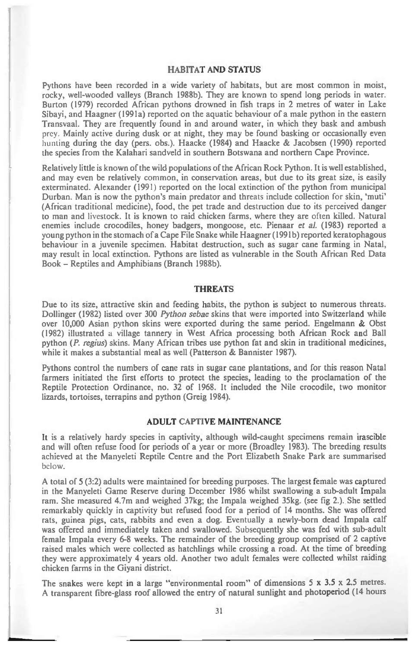#### **HABITAT AND STATUS**

Pythons have been recorded in a wide variety of habitats, but are most common in moist, rocky, well-wooded valleys (Branch 1988b). They are known to spend long periods in water. Burton (1979) recorded African pythons drowned in fish traps in 2 metres of water in Lake Sibayi, and Haagner (1991a) reported on the aquatic behaviour of a male python in the eastern Transvaal. They are frequently found in and around water, in which they bask and ambush prey. Mainly active during dusk or at night, they may be found basking or occasionally even hunting during the day (pers. obs.). Haacke (1984) and Haacke & Jacobsen (1990) reported the species from the Kalahari sandveld in southern Botswana and northern Cape Province.

Relatively little is known of the wild populations of the African Rock Python. It is well established, and may even be relatively common, in conservation areas, but due to its great size, is easily exterminated. Alexander (1991) reported on the local extinction of the python from municipal Durban. Man is now the python's main predator and threats include collection for skin, 'muti' (African traditional medicine), food, the pet trade and destruction due to its perceived danger to man and livestock. It is known to raid chicken farms, where they are often killed. Natural enemies include crocodiles, honey badgers, mongoose, etc. Pienaar *et al.* (1983) reported a young python in the stomach of a Cape File Snake while Haagner (1991b) reported keratophagous behaviour in a juvenile specimen. Habitat destruction, such as sugar cane farming in Natal, may result in local extinction. Pythons are listed as vulnerable in the South African Red Data Book — Reptiles and Amphibians (Branch 1988b).

## **THREATS**

**Due** to its size, attractive skin and feeding habits, the python is subject to numerous threats. Dollinger (1982) listed over 300 *Python sebae* skins that were imported into Switzerland while over 10,000 Asian python skins were exported during the same period. Engelmann & Obst (1982) illustrated a village tannery in West Africa processing both African Rock and Ball python *(P. regius)* skins. Many African tribes use python fat and skin in traditional medicines, while it makes a substantial meal as well (Patterson & Bannister 1987).

Pythons control the numbers of cane rats in sugar cane plantations, and for this reason Natal farmers initiated the first efforts to protect the species, leading to the proclamation of the Reptile Protection Ordinance, no. 32 of 1968. It included the Nile crocodile, two monitor lizards, tortoises, terrapins and python (Greig 1984).

## **ADULT CAPTIVE MAINTENANCE**

It is a relatively hardy species in captivity, although wild-caught specimens remain irascible and will often refuse food for periods of a year or more (Broadley 1983). The breeding results achieved at the Manyeleti Reptile Centre and the Port Elizabeth Snake Park are summarised below.

A total of 5 (3:2) adults were maintained for breeding purposes. The largest female was captured in the Manyeleti Game Reserve during December 1986 whilst swallowing a sub-adult Impala ram. She measured 4.7m and weighed 37kg; the Impala weighed 35kg. (see fig 2.). She settled remarkably quickly in captivity but refused food for a period of 14 months. She was offered rats, guinea pigs, cats, rabbits and even a dog. Eventually a newly-born dead Impala calf was offered and immediately taken and swallowed. Subsequently she was fed with sub-adult female Impala every 6-8 weeks. The remainder of the breeding group comprised of 2 captive raised males which were collected as hatchlings while crossing a road. At the time of breeding they were approximately 4 years old. Another two adult females were collected whilst raiding chicken farms in the Giyani district.

The snakes were kept in a large "environmental room" of dimensions  $5 \times 3.5 \times 2.5$  metres. A transparent fibre-glass roof allowed the entry of natural sunlight and photoperiod (14 hours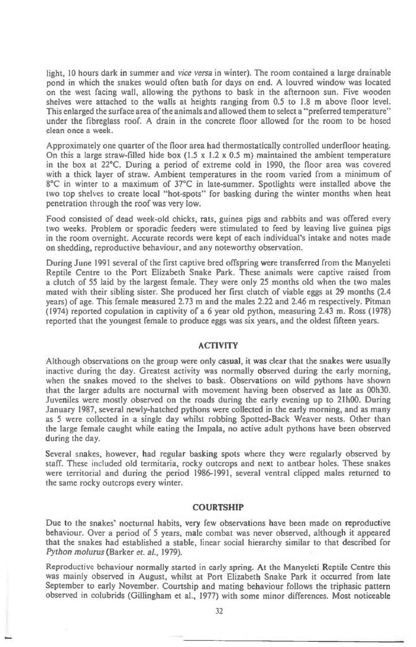light, 10 hours dark in summer and *vice versa* in winter). The room contained a large drainable pond in which the snakes would often bath for days on end. A louvred window was located on the west facing wall, allowing the pythons to bask in the afternoon sun. Five wooden shelves were attached to the walls at heights ranging from 0.5 to 1.8 m above floor level. This enlarged the surface area of the animals and allowed them to select a "preferred temperature" under the fibreglass roof. A drain in the concrete floor allowed for the room to be hosed clean once a week.

Approximately one quarter of the floor area had thermostatically controlled underfloor heating. On this a large straw-filled hide box  $(1.5 \times 1.2 \times 0.5 \text{ m})$  maintained the ambient temperature in the box at 22°C. During a period of extreme cold in 1990, the floor area was covered with a thick layer of straw. Ambient temperatures in the room varied from a minimum of 8°C in winter to a maximum of 37°C in late-summer. Spotlights were installed above the two top shelves to create local "hot-spots" for basking during the winter months when heat penetration through the roof was very low.

Food consisted of dead week-old chicks, rats, guinea pigs and rabbits and was offered every two weeks. Problem or sporadic feeders were stimulated to feed by leaving live guinea pigs in the room overnight. Accurate records were kept of each individual's intake and notes made on shedding, reproductive behaviour, and any noteworthy observation.

During June 1991 several of the first captive bred offspring were transferred from the Manyeleti Reptile Centre to the Port Elizabeth Snake Park. These animals were captive raised from a clutch of 55 laid by the largest female. They were only 25 months old when the two males mated with their sibling sister. She produced her first clutch of viable eggs at 29 months (2.4 years) of age. This female measured 2.73 m and the males 2.22 and 2.46 m respectively. Pitman (1974) reported copulation in captivity of a 6 year old python, measuring 2.43 m. Ross (1978) reported that the youngest female to produce eggs was six years, and the oldest fifteen years.

### ACTIVITY

Although observations on the group were only casual, it was clear that the snakes were usually inactive during the day. Greatest activity was normally observed during the early morning, when the snakes moved to the shelves to bask. Observations on wild pythons have shown that the larger adults are nocturnal with movement having been observed as late as 00h30. Juveniles were mostly observed on the roads during the early evening up to 21h00. During January 1987, several newly-hatched pythons were collected in the early morning, and as many as 5 were collected in a single day whilst robbing Spotted-Back Weaver nests. Other than the large female caught while eating the Impala, no active adult pythons have been observed during the day.

Several snakes, however, had regular basking spots where they were regularly observed by staff. These included old termitaria, rocky outcrops and next to antbear holes. These snakes were territorial and during the period 1986-1991, several ventral clipped males returned to the same rocky outcrops every winter.

#### COURTSHIP

Due to the snakes' nocturnal habits, very few observations have been made on reproductive behaviour. Over a period of 5 years, male combat was never observed, although it appeared that the snakes had established a stable, linear social hierarchy similar to that described for *Python molurus* (Barker *et.* al., 1979).

Reproductive behaviour normally started in early spring. At the Manyeleti Reptile Centre this was *mainly* observed in August, whilst at Port Elizabeth Snake Park it occurred from late September to early November. Courtship and mating behaviour follows the triphasic pattern observed in colubrids (Gillingham et al., 1977) with some minor differences. Most noticeable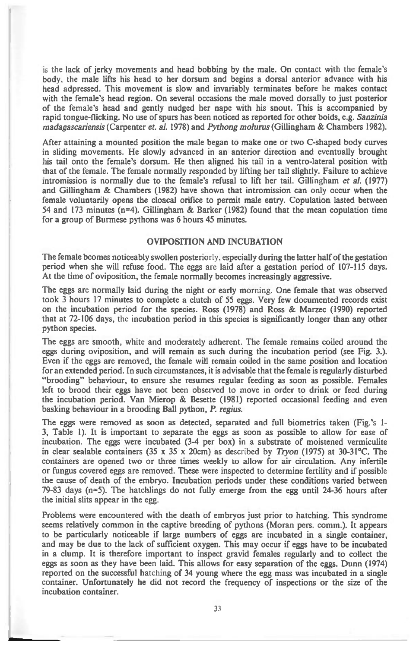is the lack of jerky movements and head bobbing by the male. On contact with the female's **body, the male lifts his head to her dorsum and begins a dorsal anterior advance with his head adpressed. This movement is slow and invariably terminates before he makes contact with the female's head region. On several occasions the male moved dorsally to just posterior of the female's head and gently nudged her nape with his snout. This is accompanied by rapid tongue-flicking. No use of spurs has been noticed as reported for other boids, e.g.** *Sanzinia madagascariensis* **(Carpenter** *et. al.* **1978) and** *Pythong molurus* **(Gillingham & Chambers 1982).** 

**After attaining a mounted position the male began to make one or two C-shaped body curves in sliding movements. He slowly advanced in an anterior direction and eventually brought his tail onto the female's dorsum. He then aligned his tail in a ventro-lateral position with that of the female. The female normally responded by lifting her tail slightly. Failure to achieve intromission is normally due to the female's refusal to lift her tail. Gillingham** *et al.* **(1977) and Gillingham & Chambers (1982) have shown that intromission can only occur when the female voluntarily opens the cloacal orifice to permit male entry. Copulation lasted between 54 and 173 minutes (n=4). Gillingham & Barker (1982) found that the mean copulation time for a group of Burmese pythons was 6 hours 45 minutes.** 

## **OVIPOSITION AND INCUBATION**

**The female bcomes noticeably swollen posteriorly, especially during the latter half of the gestation period when she will refuse food. The eggs are laid after a gestation period of 107-115 days. At the time of oviposition, the female normally becomes increasingly aggressive.** 

**The eggs are normally laid during the night or early morning. One female that was observed took 3 hours 17 minutes to complete a clutch of 55 eggs. Very few documented records exist on the incubation period for the species. Ross (1978) and Ross & Marzec (1990) reported that at 72-106 days, the incubation period in this species is significantly longer than any other python species.** 

**The eggs are smooth, white and moderately adherent. The female remains coiled around the eggs during oviposition, and will remain as such during the incubation period (see Fig. 3.). Even if the eggs are removed, the female will remain coiled in the same position and location for an extended period. In such circumstances, it is advisable that the female is regularly disturbed "brooding" behaviour, to ensure she resumes regular feeding as soon as possible. Females left to brood their eggs have not been observed to move in order to drink or feed during the incubation period. Van Mierop & Besette (1981) reported occasional feeding and even basking behaviour in a brooding Ball python,** *P. regius.* 

**The eggs were removed as soon as detected, separated and full biometrics taken (Fig.'s 1- 3, Table 1). It is important to separate the eggs as soon as possible to allow for ease of incubation. The eggs were incubated (3-4 per box) in a substrate of moistened vermiculite in clear sealable containers (35 x 35 x 20cm) as described by** *Tryon* **(1975) at 30-31°C. The containers are opened two or three times weekly to allow for air circulation. Any infertile or fungus covered eggs are removed. These were inspected to determine fertility and if possible the cause of death of the embryo. Incubation periods under these conditions varied between 79-83 days (n=5). The hatchlings do not fully emerge from the egg until 24-36 hours after the initial slits appear in the egg.** 

**Problems were encountered with the death of embryos just prior to hatching. This syndrome seems relatively common in the captive breeding of pythons (Moran pers. comm.). It appears to be particularly noticeable if large numbers of eggs are incubated in a single container, and may be due to the lack of sufficient oxygen. This may occur if eggs have to be incubated in a clump. It is therefore important to inspect gravid females regularly and to collect the eggs as soon as they have been laid. This allows for easy separation of the eggs. Dunn (1974) reported on the successful hatching of 34 young where the egg mass was incubated in a single container. Unfortunately he did not record the frequency of inspections or the size of the incubation container.**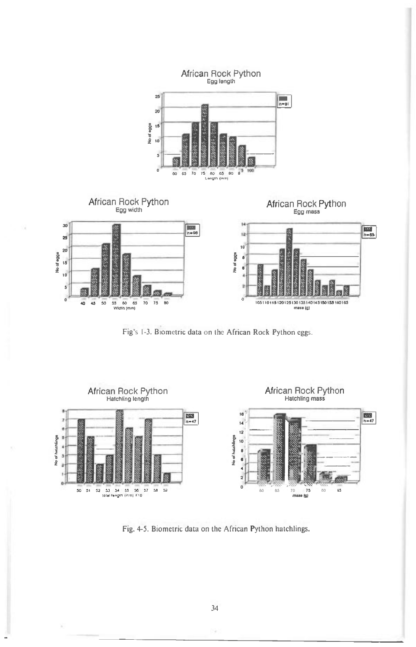

Fig's 1-3. Biometric data on the African Rock Python eggs.



Fig. 4-5. Biometric data on the African Python hatchlings.

34

9

V.

L.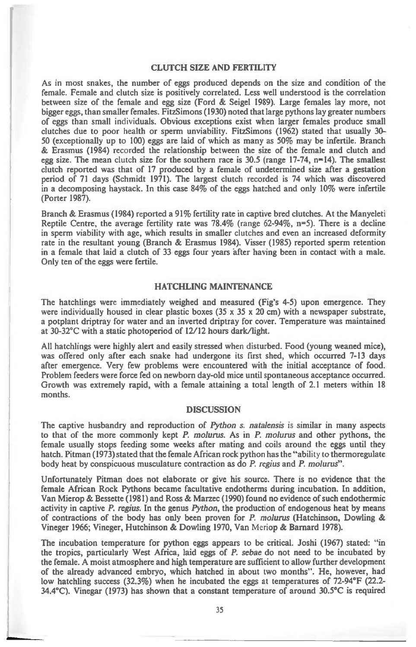#### **CLUTCH SIZE AND FERTILITY**

As in most snakes, the number of eggs produced depends on the size and condition of the female. Female and clutch size is positively correlated. Less well understood is the correlation between size of the female and egg size (Ford & Seigel 1989). Large females lay more, not bigger eggs, than smaller females. FitzSimons (1930) noted that large pythons lay greater numbers of eggs than small individuals. Obvious exceptions exist when larger females produce small clutches due to poor health or sperm unviability. FitzSimons (1962) stated that usually 30- 50 (exceptionally up to 100) eggs are laid of which as many as 50% may be infertile. Branch & Erasmus (1984) recorded the relationship between the size of the female and clutch and egg size. The mean clutch size for the southern race is  $30.5$  (range 17-74,  $n=14$ ). The smallest clutch reported was that of 17 produced by a female of undetermined size after a gestation period of 71 days (Schmidt 1971). The largest clutch recorded is 74 which was discovered in a decomposing haystack. In this case 84% of the eggs hatched and only 10% were infertile (Porter 1987).

Branch & Erasmus (1984) reported a 91% fertility rate in captive bred clutches. At the Manyeleti Reptile Centre, the average fertility rate was  $78.4\%$  (range 62-94%, n=5). There is a decline in sperm viability with age, which results in smaller clutches and even an increased deformity rate in the resultant young (Branch & Erasmus 1984). Visser (1985) reported sperm retention in a female that laid a clutch of 33 eggs four years after having been in contact with a male. Only ten of the eggs were fertile.

## **HATCHLING MAINTENANCE**

The hatchlings were immediately weighed and measured (Fig's 4-5) upon emergence. They were individually housed in clear plastic boxes  $(35 \times 35 \times 20 \text{ cm})$  with a newspaper substrate, a potplant driptray for water and an inverted driptray for cover. Temperature was maintained at 30-32°C with a static photoperiod of 12/12 hours dark/light.

All hatchlings were highly alert and easily stressed when disturbed. Food (young weaned mice), was offered only after each snake had undergone its first shed, which occurred 7-13 days after emergence. Very few problems were encountered with the initial acceptance of food. Problem feeders were force fed on newborn day-old mice until spontaneous acceptance occurred. Growth was extremely rapid, with a female attaining a total length of 2.1 meters within 18 months.

#### **DISCUSSION**

The captive husbandry and reproduction of *Python s. natalensis is similar in* many aspects to that of the more commonly kept *P. molurus.* As in *P. molurus* and other pythons, the female usually stops feeding some weeks after mating and coils around the eggs until they hatch. Pitman (1973) stated that the female African rock python has the "ability to thermoregulate body heat by conspicuous musculature contraction as do *P. regius* and *P. molurus".* 

Unfortunately Pitman does not elaborate or give his source. There is no evidence that the female African Rock Pythons became facultative endotherms during incubation. In addition, Van Mierop & Bessette (1981) and Ross & Marzec (1990) found no evidence of such endothermic activity in captive *P. regius.* In the genus *Python,* the production of endogenous heat by means of contractions of the body has only been proven for *P. molurus* (Hatchinson, Dowling & Vineger 1966; Vineger, Hutchinson & Dowling 1970, Van Meriop & Barnard 1978).

The incubation temperature for python eggs appears to be critical. Joshi (1967) stated: "in the tropics, particularly West Africa, laid eggs of *P. sebae* do not need to be incubated by the female. A moist atmosphere and high temperature are sufficient to allow further development of the already advanced embryo, which hatched in about two months". He, however, had low hatchling success (32.3%) when he incubated the eggs at temperatures of 72-94°F (22.2- 34.4°C). Vinegar (1973) has shown that a constant temperature of around 30.5°C is required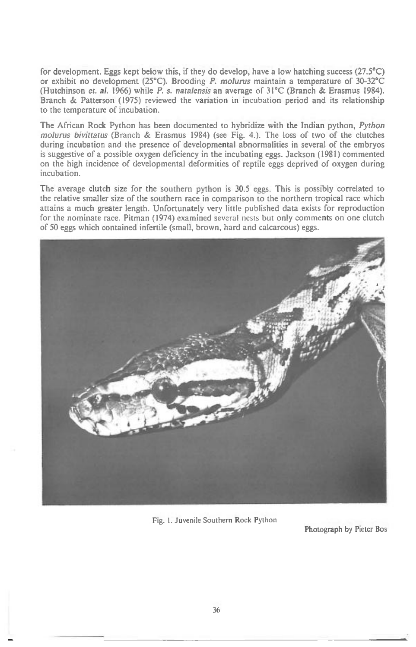for development. Eggs kept below this, if they do develop, have a low hatching success (27.5 $^{\circ}$ C) or exhibit no development (25°C). Brooding *P. molurus maintain* a temperature of 30-32°C (Hutchinson *et. al.* 1966) while *P. s. natalensis* an average of 31°C (Branch & Erasmus 1984). Branch & Patterson (1975) reviewed the variation in incubation period and its relationship to the temperature of incubation.

The African Rock Python has been documented to hybridize with the Indian python, *Python molurus bivittatus* (Branch & Erasmus 1984) (see Fig. 4.). The loss of two of the clutches during incubation and the presence of developmental abnormalities in several of the embryos is suggestive of a possible oxygen deficiency in the incubating eggs. Jackson (1981) commented on the high incidence of developmental deformities of reptile eggs deprived of oxygen during incubation.

The average clutch size for the southern python is 30.5 eggs. This is possibly correlated to the relative smaller size of the southern race in comparison to the northern tropical race which attains a much greater length. Unfortunately very little published data exists for reproduction for the nominate race. Pitman (1974) examined several nests but only comments on one clutch of 50 eggs which contained infertile (small, brown, hard and calcareous) eggs.



Fig. I. Juvenile Southern Rock Python

Photograph by Pieter Bos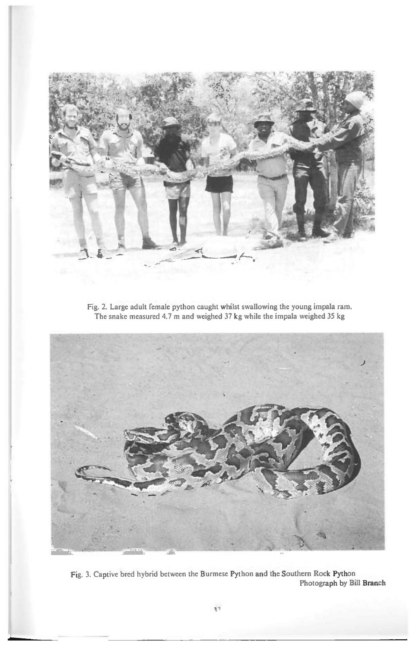

Fig. 2. Large adult female python caught whilst swallowing the young impala ram. The snake measured 4.7 m and weighed 37 kg while the impala weighed 35 kg



Fig. 3. Captive bred hybrid between the Burmese Python and the Southern Rock Python Photograph by Bill Branch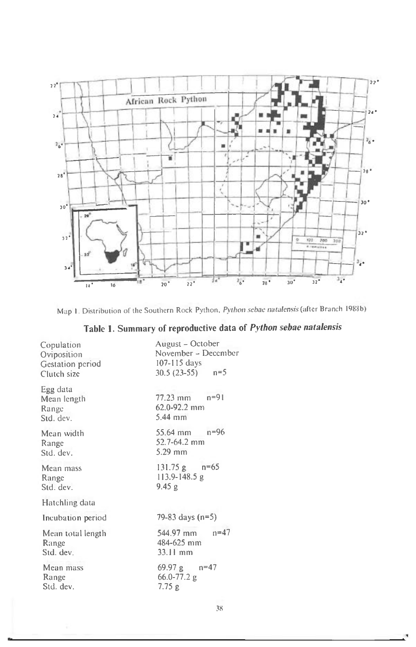

Map **I.** Distribution of the Southern Rock Python, *Python sebac natafensis* (alter Branch I988b)

| Table 1. Summary of reproductive data of Python sebae natalensis |  |  |  |  |
|------------------------------------------------------------------|--|--|--|--|
|------------------------------------------------------------------|--|--|--|--|

| Copulation<br>Oviposition<br>Gestation period<br>Clutch size | August - October<br>November - December<br>$107 - 115$ days<br>$30.5(23-55)$ n=5 |  |  |  |
|--------------------------------------------------------------|----------------------------------------------------------------------------------|--|--|--|
| Egg data<br>Mean length<br>Range<br>Std. dev.                | $77.23 \text{ mm}$ $n=91$<br>62.0-92.2 mm<br>$5.44$ mm                           |  |  |  |
| Mean width<br>Range<br>Std. dev.                             | $55.64 \text{ mm}$ n=96<br>52.7-64.2 mm<br>5.29 mm                               |  |  |  |
| Mean mass<br>Range<br>Std. dev.                              | 131.75 g $n=65$<br>$113.9 - 148.5$ g<br>9.45 g                                   |  |  |  |
| Hatchling data                                               |                                                                                  |  |  |  |
| Incubation period                                            | 79-83 days $(n=5)$                                                               |  |  |  |
| Mean total length<br>Range<br>Std. dev.                      | $n = 47$<br>544.97 mm<br>484-625 mm<br>$33.11$ mm                                |  |  |  |
| Mean mass<br>Range<br>Std. dev.                              | $69.97 g$ $n=47$<br>66.0-77.2 g<br>7.75g                                         |  |  |  |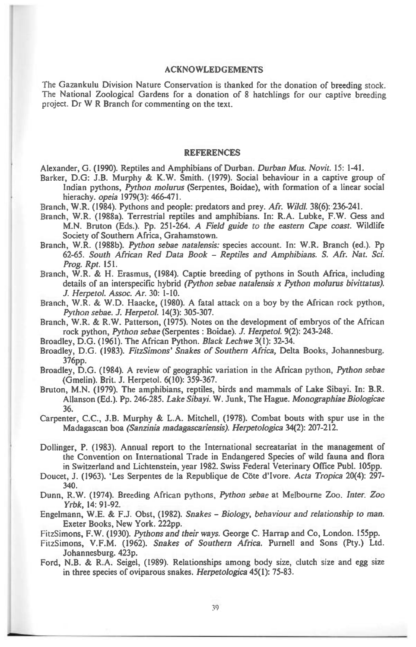#### **ACKNOWLEDGEMENTS**

1

**The Gazankulu Division Nature Conservation is thanked for the donation of breeding stock. The National Zoological Gardens for a donation of 8 hatchlings for our captive breeding project. Dr W R Branch for commenting on the text.** 

#### **REFERENCES**

**Alexander, G. (1990). Reptiles and Amphibians of Durban.** *Durban Mus. Novit.* **15: 1-41.** 

- **Barker, D.G: J.B. Murphy & K.W. Smith. (1979). Social behaviour in a captive group of Indian pythons,** *Python molurus* **(Serpentes, Boidae), with formation of a linear social hierachy.** *opeia* **1979(3): 466-471.**
- **Branch, W.R. (1984). Pythons and people: predators and prey.** *Afr. Wildl.* **38(6):236-241.**
- **Branch, W.R. (1988a). Terrestrial reptiles and amphibians. In: R.A. Lubke, F.W. Gess and M.N. Bruton (Eds.). Pp. 251-264. A** *Field guide to the eastern Cape coast.* **Wildlife Society of Southern Africa, Grahamstown.**
- **Branch, W.R. (1988b).** *Python sebae natalensis:* **species account. In: W.R. Branch (ed.). Pp**  *62-65. South African Red Data Book - Reptiles and Amphibians. S. Afr. Nat. Sci. Prog. Rpt.* **151.**
- **Branch, W.R. & H. Erasmus, (1984). Captie breeding of pythons in South Africa, including details of an interspecific hybrid** *(Python sebae natalensis x Python molurus bivittatus). J. HerpetoL Assoc. Ar.* **30: 1-10.**
- **Branch, W.R. & W.D. Haacke, (1980). A fatal attack on a boy by the African rock python,**  *Python sebae. J. Herpetol.* **14(3): 305-307.**
- **Branch, W.R. & R.W. Patterson, (1975). Notes on the development of embryos of the African rock python,** *Python sebae* **(Serpentes : Boidae).** *J. Herpetol.* **9(2): 243-248.**
- **Broadley, D.G. (1961). The African Python.** *Black Lechwe* **3(1): 32-34.**
- **Broadley, D.G. (1983).** *FitzSimons' Snakes of Southern Africa,* **Delta Books, Johannesburg. 376pp.**
- **Broadley, D.G. (1984). A review of geographic variation in the African python,** *Python sebae*  **(Gmelin). Brit. J. Herpetol. 6(10): 359-367.**
- **Bruton, M.N. (1979). The amphibians, reptiles, birds and mammals of Lake Sibayi. In: B.R. Allanson (Ed.). Pp. 246-285.** *Lake Sibayi.* **W. Junk, The Hague.** *Monographiae Biologicae*  **36.**

**Carpenter, C.C., J.B. Murphy & L.A. Mitchell, (1978). Combat bouts with spur use in the Madagascan boa** *(Sanzinia madagascariensis). Herpetologica* **34(2): 207-212.** 

- **Dollinger, P. (1983). Annual report to the International secreatariat in the management of the Convention on International Trade in Endangered Species of wild fauna and flora in Switzerland and Lichtenstein, year 1982. Swiss Federal Veterinary Office Publ. 105pp.**
- **Doucet, J. (1963). 'Les Serpentes de la Republique de Cote d'Ivore.** *Acta Tropica* **20(4): 297- 340.**
- **Dunn, R.W. (1974). Breeding African pythons,** *Python sebae* **at Melbourne Zoo.** *Inter. Zoo Yrbk,* **14: 91-92.**
- **Engelmann, W.E. & F.J. Obst, (1982).** *Snakes Biology, behaviour and relationship to* **man. Exeter Books, New York. 222pp.**
- **FitzSimons, F.W. (1930).** *Pythons and their ways.* **George C. Harrap and Co, London. 155pp.**
- **FitzSimons, V.F.M. (1962).** *Snakes of Southern Africa.* **Purnell and Sons (Pty.) Ltd. Johannesburg. 423p.**
- **Ford, N.B. & R.A. Seigel, (1989). Relationships among body size, clutch size and egg size in three species of oviparous snakes.** *Herpetologica* **45(1): 75-83.**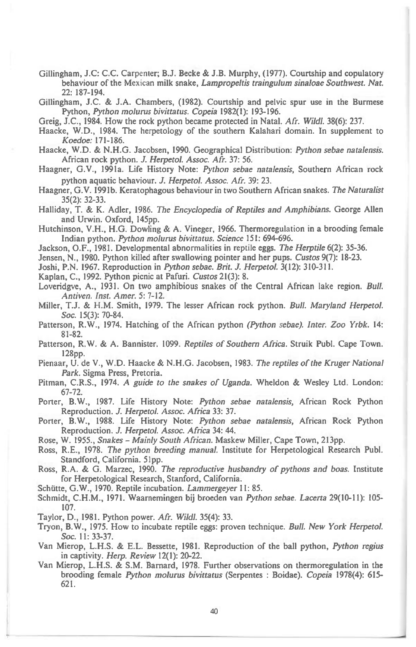Gillingham, J.C: C.C. Carpenter; B.J. Becke & J.B. Murphy, (1977). Courtship and copulatory behaviour of the Mexican milk snake, *Lampropeltis traingulum sinaloae Southwest. Nat.*  22: 187-194.

Gillingham, J.C. & J.A. Chambers, (1982). Courtship and pelvic spur use in the Burmese Python, *Python molurus bivittatus. Copeia* 1982(1): 193-196.

Greig, J.C., 1984. How the rock python became protected in *Natal. Afr. Wildl.* 38(6): 237.

Haacke, W.D., 1984. The herpetology of the southern Kalahari domain. In supplement to *Koedoe:* 171-186.

Haacke, W.D. & N.H.G. Jacobsen, 1990. Geographical Distribution: *Python sebae natalensis.*  African rock python. *J. HeipetoL Assoc. Afr.* 37: 56.

Haagner, G.V., 1991a. Life History Note: *Python sebae natalensis,* Southern African rock python aquatic behaviour. *J. Herpetol. Assoc. Afr.* 39: 23.

Haagner, G.V. 1991b. Keratophagous behaviour in two Southern African snakes. *The Naturalist*  35(2): 32-33.

Halliday, T. & K. Adler, 1986. *The Encyclopedia of Reptiles and Amphibians.* George Allen and Urwin. Oxford, 145pp.

Hutchinson, V.H., H.G. Dowling & A. Vineger, 1966. Thermoregulation in a brooding female Indian python. *Python molurus bivittatus. Science* 151: 694-696.

Jackson, 0.F., 1981. Developmental abnormalities in reptile eggs. *The Herptile* 6(2): 35-36.

Jensen, N., 1980. Python killed after swallowing pointer and her pups. *Custos* 9(7): 18-23.

Joshi, P.N. 1967. Reproduction *in Python sebae. Brit. J. Herpetol.* 3(12): 310-311.

Kaplan, C., 1992. Python picnic at Pafuri. *Custos* 21(3): 8.

Loveridgve, A., 1931. On two amphibious snakes of the Central African lake region. *Bull. Antiven. Inst. Amer.* 5: 7-12.

Miller, T.J. & H.M. Smith, 1979. The lesser African rock python. *Bull. Maryland Herpetol. Soc.* 15(3): 70-84.

Patterson, R.W., 1974. Hatching of the African python *(Python sebae). Inter. Zoo Yrbk.* 14: 81-82.

Patterson, R.W. & A. Bannister. 1099. *Reptiles of Southern Africa.* Struik Publ. Cape Town. 128pp.

Pienaar, U. de V., W.D. Haacke & N.H.G. Jacobsen, 1983. *The reptiles of the Kruger National Park.* Sigma Press, Pretoria.

Pitman, C.R.S., 1974. *A guide to the snakes of Uganda.* Wheldon & Wesley Ltd. London: 67-72.

Porter, B.W., 1987. Life History Note: *Python sebae natalensis,* African Rock Python Reproduction. *J. Herpetol. Assoc. Africa* 33: 37.

Porter, B.W., 1988. Life History Note: *Python sebae natalensis,* African Rock Python Reproduction. *J. Herpetol. Assoc. Africa* 34: 44.

Rose, W. 1955., *Snakes - Mainly South African.* Maskew Miller, Cape Town, 213pp.

Ross, R.E., 1978. *The python breeding manual.* Institute for Herpetological Research Publ. Standford, California. 51pp.

Ross, R.A. & G. Marzec, 1990. *The reproductive husbandry of pythons and boas.* Institute for Herpetological Research, Stanford, California.

Schütte, G.W., 1970. Reptile incubation. *Lammergeyer* 11: 85.

Schmidt, C.H.M., 1971. Waarnemingen bij broeden *van Python sebae. Lacerta* 29(10-11): 105- 107.

Taylor, D., 1981. Python power. *Afr. Wild!.* 35(4): 33.

Tryon, B.W., 1975. How to incubate reptile eggs: proven technique. *Bull. New York Herpetol. Soc.* 11: 33-37.

Van Mierop, L.H.S. & E.L. Bessette, 1981. Reproduction of the ball python, *Python regius in captivity. Herp. Review 12(1): 20-22.* 

Van Mierop, L.H.S. & S.M. Barnard, 1978. Further observations on thermoregulation in the brooding female *Python molurus bivittatus* (Serpentes : Boidae). *Copeia* 1978(4): 615- 621.